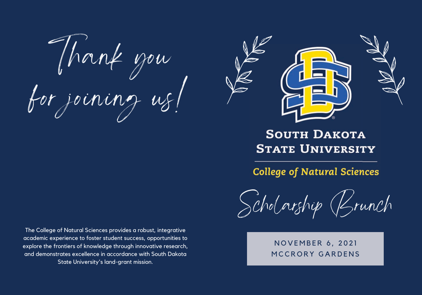Thank you for joining us!

The College of Natural Sciences provides a robust, integrative academic experience to foster student success, opportunities to explore the frontiers of knowledge through innovative research, and demonstrates excellence in accordance with South Dakota State University's land-grant mission.



### **SOUTH DAKOTA STATE UNIVERSITY**

**College of Natural Sciences** 

Scholarship (Brunch

N O V E M B E R 6 , 2 0 2 1 MCCRORY GARDENS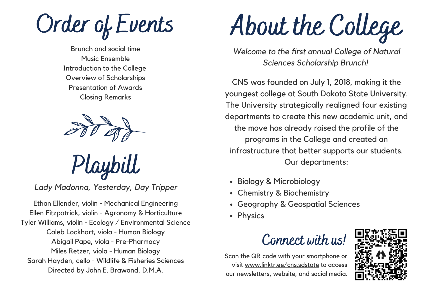Order of Events

Brunch and social time Music Ensemble Introduction to the College Overview of Scholarships Presentation of Awards Closing Remarks



Playbill

*Lady Madonna, Yesterday, Day Tripper*

Ethan Ellender, violin - Mechanical Engineering Ellen Fitzpatrick, violin - Agronomy & Horticulture Tyler Williams, violin - Ecology / Environmental Science Caleb Lockhart, viola - Human Biology Abigail Pape, viola - Pre-Pharmacy Miles Retzer, viola - Human Biology Sarah Hayden, cello - Wildlife & Fisheries Sciences Directed by John E. Brawand, D.M.A.

About the College

*Welcome to the first annual College of Natural Sciences Scholarship Brunch!*

CNS was founded on July 1, 2018, making it the youngest college at South Dakota State University. The University strategically realigned four existing departments to create this new academic unit, and the move has already raised the profile of the programs in the College and created an infrastructure that better supports our students. Our departments:

- Biology & Microbiology
- Chemistry & Biochemistry
- Geography & Geospatial Sciences
- Physics



Scan the QR code with your smartphone or visit www.linktr.ee/cns.sdstate to access our newsletters, website, and social media.

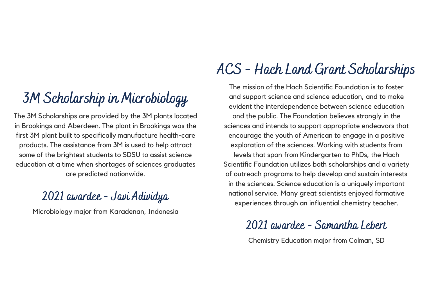### 3M Scholarship in Microbiology

The 3M Scholarships are provided by the 3M plants located in Brookings and Aberdeen. The plant in Brookings was the first 3M plant built to specifically manufacture health-care products. The assistance from 3M is used to help attract some of the brightest students to SDSU to assist science education at a time when shortages of sciences graduates are predicted nationwide.

#### 2021 awardee - Javi Adividya

Microbiology major from Karadenan, Indonesia

# ACS - Hach Land Grant Scholarships

The mission of the Hach Scientific Foundation is to foster and support science and science education, and to make evident the interdependence between science education and the public. The Foundation believes strongly in the sciences and intends to support appropriate endeavors that encourage the youth of American to engage in a positive exploration of the sciences. Working with students from levels that span from Kindergarten to PhDs, the Hach Scientific Foundation utilizes both scholarships and a variety of outreach programs to help develop and sustain interests in the sciences. Science education is a uniquely important national service. Many great scientists enjoyed formative experiences through an influential chemistry teacher.

### 2021 awardee - Samantha Lebert

Chemistry Education major from Colman, SD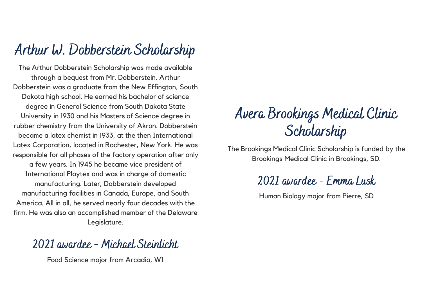### Arthur W. Dobberstein Scholarship

The Arthur Dobberstein Scholarship was made available through a bequest from Mr. Dobberstein. Arthur Dobberstein was a graduate from the New Effington, South Dakota high school. He earned his bachelor of science degree in General Science from South Dakota State University in 1930 and his Masters of Science degree in rubber chemistry from the University of Akron. Dobberstein became a latex chemist in 1933, at the then International Latex Corporation, located in Rochester, New York. He was responsible for all phases of the factory operation after only a few years. In 1945 he became vice president of International Playtex and was in charge of domestic manufacturing. Later, Dobberstein developed manufacturing facilities in Canada, Europe, and South America. All in all, he served nearly four decades with the firm. He was also an accomplished member of the Delaware Legislature.

#### 2021 awardee - Michael Steinlicht

Food Science major from Arcadia, WI

### Avera Brookings Medical Clinic Scholarship

The Brookings Medical Clinic Scholarship is funded by the Brookings Medical Clinic in Brookings, SD.

#### 2021 awardee - Emma Lusk

Human Biology major from Pierre, SD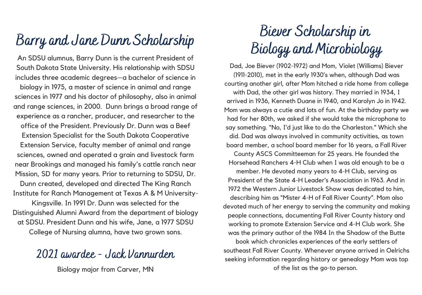### Barry and Jane Dunn Scholarship

An SDSU alumnus, Barry Dunn is the current President of South Dakota State University. His relationship with SDSU includes three academic degrees—a bachelor of science in biology in 1975, a master of science in animal and range sciences in 1977 and his doctor of philosophy, also in animal and range sciences, in 2000. Dunn brings a broad range of experience as a rancher, producer, and researcher to the office of the President. Previously Dr. Dunn was a Beef Extension Specialist for the South Dakota Cooperative Extension Service, faculty member of animal and range sciences, owned and operated a grain and livestock farm near Brookings and managed his family's cattle ranch near Mission, SD for many years. Prior to returning to SDSU, Dr.

Dunn created, developed and directed The King Ranch Institute for Ranch Management at Texas A & M University-

Kingsville. In 1991 Dr. Dunn was selected for the Distinguished Alumni Award from the department of biology at SDSU. President Dunn and his wife, Jane, a 1977 SDSU College of Nursing alumna, have two grown sons.

#### 2021 awardee - Jack Vannurden

Biology major from Carver, MN

# Biever Scholarship in Biology and Microbiology

Dad, Joe Biever (1902-1972) and Mom, Violet (Williams) Biever (1911-2010), met in the early 1930's when, although Dad was courting another girl, after Mom hitched a ride home from college with Dad, the other girl was history. They married in 1934, I arrived in 1936, Kenneth Duane in 1940, and Karolyn Jo in 1942. Mom was always a cutie and lots of fun. At the birthday party we had for her 80th, we asked if she would take the microphone to say something. "No, I'd just like to do the Charleston." Which she did. Dad was always involved in community activities, as town board member, a school board member for 16 years, a Fall River

County ASCS Committeeman for 25 years. He founded the Horsehead Ranchers 4-H Club when I was old enough to be a member. He devoted many years to 4-H Club, serving as President of the State 4-H Leader's Association in 1963. And in 1972 the Western Junior Livestock Show was dedicated to him, describing him as "Mister 4-H of Fall River County". Mom also devoted much of her energy to serving the community and making people connections, documenting Fall River County history and working to promote Extension Service and 4-H Club work. She was the primary author of the 1984 In the Shadow of the Butte book which chronicles experiences of the early settlers of southeast Fall River County. Whenever anyone arrived in Oelrichs seeking information regarding history or genealogy Mom was top of the list as the go-to person.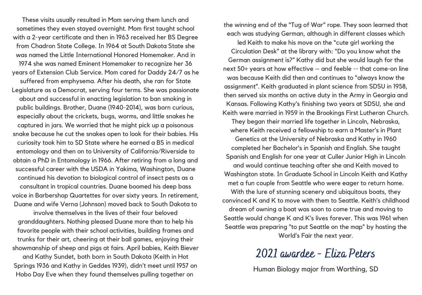These visits usually resulted in Mom serving them lunch and sometimes they even stayed overnight. Mom first taught school with a 2-year certificate and then in 1963 received her BS Degree from Chadron State College. In 1964 at South Dakota State she was named the Little International Honored Homemaker. And in 1974 she was named Eminent Homemaker to recognize her 36 years of Extension Club Service. Mom cared for Daddy 24/7 as he suffered from emphysema. After his death, she ran for State Legislature as a Democrat, serving four terms. She was passionate about and successful in enacting legislation to ban smoking in public buildings. Brother, Duane (1940-2014), was born curious, especially about the crickets, bugs, worms, and little snakes he captured in jars. We worried that he might pick up a poisonous snake because he cut the snakes open to look for their babies. His curiosity took him to SD State where he earned a BS in medical entomology and then on to University of California/Riverside to obtain a PhD in Entomology in 1966. After retiring from a long and successful career with the USDA in Yakima, Washington, Duane continued his devotion to biological control of insect pests as a consultant in tropical countries. Duane boomed his deep bass voice in Barbershop Quartettes for over sixty years. In retirement, Duane and wife Verna (Johnson) moved back to South Dakota to

involve themselves in the lives of their four beloved granddaughters. Nothing pleased Duane more than to help his favorite people with their school activities, building frames and trunks for their art, cheering at their ball games, enjoying their showmanship of sheep and pigs at fairs. April babies, Keith Biever and Kathy Sundet, both born in South Dakota (Keith in Hot Springs 1936 and Kathy in Geddes 1939), didn't meet until 1957 on Hobo Day Eve when they found themselves pulling together on

the winning end of the "Tug of War" rope. They soon learned that each was studying German, although in different classes which

led Keith to make his move on the "cute girl working the Circulation Desk" at the library with: "Do you know what the German assignment is?" Kathy did but she would laugh for the next 50+ years at how effective – and feeble -- that come-on line was because Keith did then and continues to "always know the assignment". Keith graduated in plant science from SDSU in 1958, then served six months on active duty in the Army in Georgia and Kansas. Following Kathy's finishing two years at SDSU, she and Keith were married in 1959 in the Brookings First Lutheran Church.

They began their married life together in Lincoln, Nebraska, where Keith received a fellowship to earn a Master's in Plant Genetics at the University of Nebraska and Kathy in 1960 completed her Bachelor's in Spanish and English. She taught Spanish and English for one year at Culler Junior High in Lincoln and would continue teaching after she and Keith moved to Washington state. In Graduate School in Lincoln Keith and Kathy met a fun couple from Seattle who were eager to return home. With the lure of stunning scenery and ubiquitous boats, they convinced K and K to move with them to Seattle. Keith's childhood dream of owning a boat was soon to come true and moving to Seattle would change K and K's lives forever. This was 1961 when Seattle was preparing "to put Seattle on the map" by hosting the World's Fair the next year.

#### 2021 awardee - Eliza Peters

Human Biology major from Worthing, SD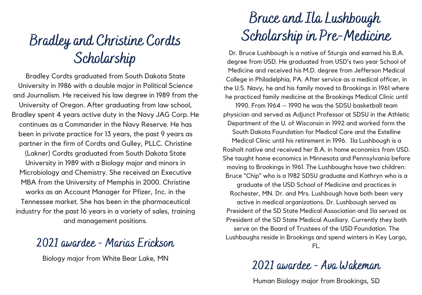### Bradley and Christine Cordts Scholarship

Bradley Cordts graduated from South Dakota State University in 1986 with a double major in Political Science and Journalism. He received his law degree in 1989 from the University of Oregon. After graduating from law school, Bradley spent 4 years active duty in the Navy JAG Corp. He continues as a Commander in the Navy Reserve. He has been in private practice for 13 years, the past 9 years as partner in the firm of Cordts and Gulley, PLLC. Christine (Lakner) Cordts graduated from South Dakota State University in 1989 with a Biology major and minors in Microbiology and Chemistry. She received an Executive MBA from the University of Memphis in 2000. Christine works as an Account Manager for Pfizer, Inc. in the Tennessee market. She has been in the pharmaceutical industry for the past 16 years in a variety of sales, training and management positions.

#### 2021 awardee - Marias Erickson

Biology major from White Bear Lake, MN

### Bruce and Ila Lushbough Scholarship in Pre-Medicine

Dr. Bruce Lushbough is a native of Sturgis and earned his B.A. degree from USD. He graduated from USD's two year School of Medicine and received his M.D. degree from Jefferson Medical College in Philadelphia, PA. After service as a medical officer, in the U.S. Navy, he and his family moved to Brookings in 1961 where he practiced family medicine at the Brookings Medical Clinic until

1990. From 1964 – 1990 he was the SDSU basketball team physician and served as Adjunct Professor at SDSU in the Athletic Department of the U. of Wisconsin in 1992 and worked form the South Dakota Foundation for Medical Care and the Estelline Medical Clinic until his retirement in 1996. Ila Lushbough is a Rosholt native and received her B.A. in home economics from USD. She taught home economics in Minnesota and Pennsylvania before moving to Brookings in 1961. The Lushboughs have two children: Bruce "Chip" who is a 1982 SDSU graduate and Kathryn who is a graduate of the USD School of Medicine and practices in Rochester, MN. Dr. and Mrs. Lushbough have both been very active in medical organizations. Dr. Lushbough served as President of the SD State Medical Association and Ila served as President of the SD State Medical Auxiliary. Currently they both serve on the Board of Trustees of the USD Foundation. The Lushboughs reside in Brookings and spend winters in Key Largo, FL.

#### 2021 awardee - Ava Wakeman

Human Biology major from Brookings, SD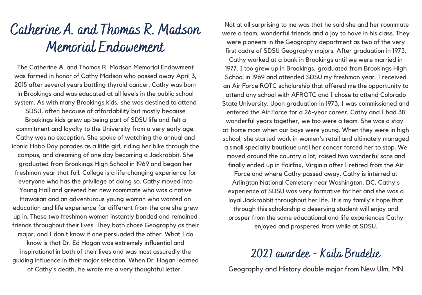### Catherine A. and Thomas R. Madson Memorial Endowement

The Catherine A. and Thomas R. Madson Memorial Endowment was formed in honor of Cathy Madson who passed away April 3, 2015 after several years battling thyroid cancer. Cathy was born in Brookings and was educated at all levels in the public school system. As with many Brookings kids, she was destined to attend SDSU, often because of affordability but mostly because Brookings kids grew up being part of SDSU life and felt a commitment and loyalty to the University from a very early age. Cathy was no exception. She spoke of watching the annual and iconic Hobo Day parades as a little girl, riding her bike through the campus, and dreaming of one day becoming a Jackrabbit. She graduated from Brookings High School in 1969 and began her freshman year that fall. College is a life-changing experience for everyone who has the privilege of doing so. Cathy moved into Young Hall and greeted her new roommate who was a native Hawaiian and an adventurous young woman who wanted an education and life experience far different from the one she grew up in. These two freshman women instantly bonded and remained friends throughout their lives. They both chose Geography as their major, and I don't know if one persuaded the other. What I do know is that Dr. Ed Hogan was extremely influential and inspirational in both of their lives and was most assuredly the guiding influence in their major selection. When Dr. Hogan learned of Cathy's death, he wrote me a very thoughtful letter.

Not at all surprising to me was that he said she and her roommate were a team, wonderful friends and a joy to have in his class. They were pioneers in the Geography department as two of the very first cadre of SDSU Geography majors. After graduation in 1973, Cathy worked at a bank in Brookings until we were married in 1977. I too grew up in Brookings, graduated from Brookings High School in 1969 and attended SDSU my freshman year. I received an Air Force ROTC scholarship that offered me the opportunity to attend any school with AFROTC and I chose to attend Colorado State University. Upon graduation in 1973, I was commissioned and entered the Air Force for a 26-year career. Cathy and I had 38 wonderful years together, we too were a team. She was a stayat-home mom when our boys were young. When they were in high school, she started work in women's retail and ultimately managed a small specialty boutique until her cancer forced her to stop. We moved around the country a lot, raised two wonderful sons and finally ended up in Fairfax, Virginia after I retired from the Air Force and where Cathy passed away. Cathy is interred at Arlington National Cemetery near Washington, DC. Cathy's experience at SDSU was very formative for her and she was a loyal Jackrabbit throughout her life. It is my family's hope that through this scholarship a deserving student will enjoy and prosper from the same educational and life experiences Cathy enjoyed and prospered from while at SDSU.

#### 2021 awardee - Kaila Brudelie

Geography and History double major from New Ulm, MN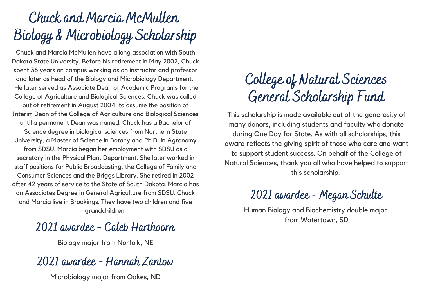# Chuck and Marcia McMullen Biology & Microbiology Scholarship

Chuck and Marcia McMullen have a long association with South Dakota State University. Before his retirement in May 2002, Chuck spent 36 years on campus working as an instructor and professor and later as head of the Biology and Microbiology Department. He later served as Associate Dean of Academic Programs for the College of Agriculture and Biological Sciences. Chuck was called out of retirement in August 2004, to assume the position of Interim Dean of the College of Agriculture and Biological Sciences until a permanent Dean was named. Chuck has a Bachelor of Science degree in biological sciences from Northern State University, a Master of Science in Botany and Ph.D. in Agronomy from SDSU. Marcia began her employment with SDSU as a secretary in the Physical Plant Department. She later worked in staff positions for Public Broadcasting, the College of Family and Consumer Sciences and the Briggs Library. She retired in 2002 after 42 years of service to the State of South Dakota. Marcia has an Associates Degree in General Agriculture from SDSU. Chuck and Marcia live in Brookings. They have two children and five grandchildren.

#### 2021 awardee - Caleb Harthoorn

Biology major from Norfolk, NE

### 2021 awardee - Hannah Zantow

Microbiology major from Oakes, ND

# College of Natural Sciences General Scholarship Fund

This scholarship is made available out of the generosity of many donors, including students and faculty who donate during One Day for State. As with all scholarships, this award reflects the giving spirit of those who care and want to support student success. On behalf of the College of Natural Sciences, thank you all who have helped to support this scholarship.

### 2021 awardee - Megan Schulte

Human Biology and Biochemistry double major from Watertown, SD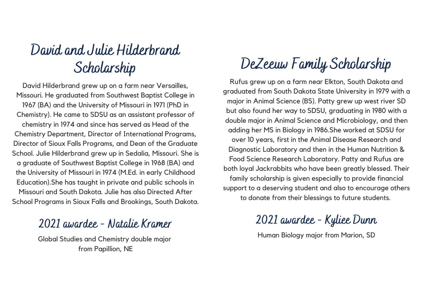### David and Julie Hilderbrand Scholarship

David Hilderbrand grew up on a farm near Versailles, Missouri. He graduated from Southwest Baptist College in 1967 (BA) and the University of Missouri in 1971 (PhD in Chemistry). He came to SDSU as an assistant professor of chemistry in 1974 and since has served as Head of the Chemistry Department, Director of International Programs, Director of Sioux Falls Programs, and Dean of the Graduate School. Julie Hilderbrand grew up in Sedalia, Missouri. She is a graduate of Southwest Baptist College in 1968 (BA) and the University of Missouri in 1974 (M.Ed. in early Childhood Education).She has taught in private and public schools in Missouri and South Dakota. Julie has also Directed After School Programs in Sioux Falls and Brookings, South Dakota.

#### 2021 awardee - Natalie Kramer

Global Studies and Chemistry double major from Papillion, NE

# DeZeeuw Family Scholarship

Rufus grew up on a farm near Elkton, South Dakota and graduated from South Dakota State University in 1979 with a major in Animal Science (BS). Patty grew up west river SD but also found her way to SDSU, graduating in 1980 with a double major in Animal Science and Microbiology, and then adding her MS in Biology in 1986.She worked at SDSU for over 10 years, first in the Animal Disease Research and Diagnostic Laboratory and then in the Human Nutrition & Food Science Research Laboratory. Patty and Rufus are both loyal Jackrabbits who have been greatly blessed. Their family scholarship is given especially to provide financial support to a deserving student and also to encourage others to donate from their blessings to future students.

2021 awardee - Kyliee Dunn

Human Biology major from Marion, SD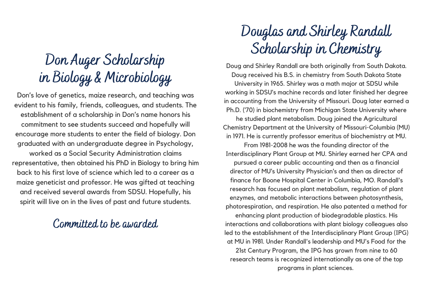# Don Auger Scholarship in Biology & Microbiology

Don's love of genetics, maize research, and teaching was evident to his family, friends, colleagues, and students. The establishment of a scholarship in Don's name honors his commitment to see students succeed and hopefully will encourage more students to enter the field of biology. Don graduated with an undergraduate degree in Psychology, worked as a Social Security Administration claims representative, then obtained his PhD in Biology to bring him back to his first love of science which led to a career as a maize geneticist and professor. He was gifted at teaching and received several awards from SDSU. Hopefully, his spirit will live on in the lives of past and future students.

#### Committed to be awarded

# Douglas and Shirley Randall Scholarship in Chemistry

Doug and Shirley Randall are both originally from South Dakota. Doug received his B.S. in chemistry from South Dakota State University in 1965. Shirley was a math major at SDSU while working in SDSU's machine records and later finished her degree in accounting from the University of Missouri. Doug later earned a Ph.D. ('70) in biochemistry from Michigan State University where he studied plant metabolism. Doug joined the Agricultural Chemistry Department at the University of Missouri-Columbia (MU) in 1971. He is currently professor emeritus of biochemistry at MU. From 1981-2008 he was the founding director of the Interdisciplinary Plant Group at MU. Shirley earned her CPA and pursued a career public accounting and then as a financial director of MU's University Physician's and then as director of finance for Boone Hospital Center in Columbia, MO. Randall's research has focused on plant metabolism, regulation of plant enzymes, and metabolic interactions between photosynthesis, photorespiration, and respiration. He also patented a method for

enhancing plant production of biodegradable plastics. His interactions and collaborations with plant biology colleagues also led to the establishment of the Interdisciplinary Plant Group (IPG) at MU in 1981. Under Randall's leadership and MU's Food for the 21st Century Program, the IPG has grown from nine to 60 research teams is recognized internationally as one of the top programs in plant sciences.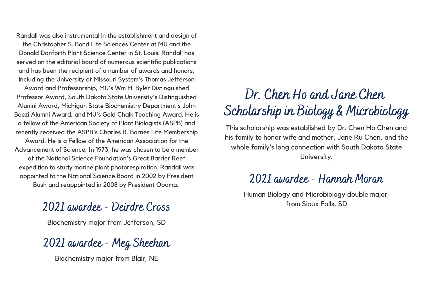Randall was also instrumental in the establishment and design of the Christopher S. Bond Life Sciences Center at MU and the Donald Danforth Plant Science Center in St. Louis. Randall has served on the editorial board of numerous scientific publications and has been the recipient of a number of awards and honors, including the University of Missouri System's Thomas Jefferson

Award and Professorship, MU's Wm H. Byler Distinguished Professor Award, South Dakota State University's Distinguished Alumni Award, Michigan State Biochemistry Department's John Boezi Alumni Award, and MU's Gold Chalk Teaching Award. He is a fellow of the American Society of Plant Biologists (ASPB) and recently received the ASPB's Charles R. Barnes Life Membership Award. He is a Fellow of the American Association for the Advancement of Science. In 1973, he was chosen to be a member of the National Science Foundation's Great Barrier Reef

expedition to study marine plant photorespiration. Randall was appointed to the National Science Board in 2002 by President Bush and reappointed in 2008 by President Obama.

#### 2021 awardee - Deirdre Cross

Biochemistry major from Jefferson, SD

2021 awardee - Meg Sheehan

Biochemistry major from Blair, NE

### Dr. Chen Ho and Jane Chen Scholarship in Biology & Microbiology

This scholarship was established by Dr. Chen Ho Chen and his family to honor wife and mother, Jane Ru Chen, and the whole family's long connection with South Dakota State University.

#### 2021 awardee - Hannah Moran

Human Biology and Microbiology double major from Sioux Falls, SD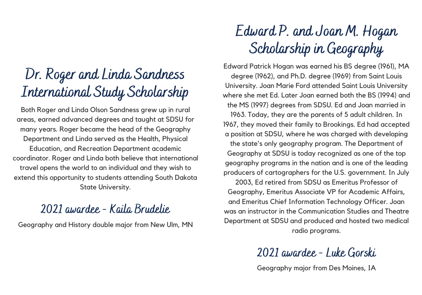### Dr. Roger and Linda Sandness International Study Scholarship

Both Roger and Linda Olson Sandness grew up in rural areas, earned advanced degrees and taught at SDSU for many years. Roger became the head of the Geography Department and Linda served as the Health, Physical Education, and Recreation Department academic coordinator. Roger and Linda both believe that international travel opens the world to an individual and they wish to extend this opportunity to students attending South Dakota State University.

#### 2021 awardee - Kaila Brudelie

Geography and History double major from New Ulm, MN

# Edward P. and Joan M. Hogan Scholarship in Geography

Edward Patrick Hogan was earned his BS degree (1961), MA degree (1962), and Ph.D. degree (1969) from Saint Louis University. Joan Marie Ford attended Saint Louis University where she met Ed. Later Joan earned both the BS (1994) and the MS (1997) degrees from SDSU. Ed and Joan married in 1963. Today, they are the parents of 5 adult children. In 1967, they moved their family to Brookings. Ed had accepted a position at SDSU, where he was charged with developing the state's only geography program. The Department of Geography at SDSU is today recognized as one of the top geography programs in the nation and is one of the leading producers of cartographers for the U.S. government. In July 2003, Ed retired from SDSU as Emeritus Professor of Geography, Emeritus Associate VP for Academic Affairs, and Emeritus Chief Information Technology Officer. Joan was an instructor in the Communication Studies and Theatre Department at SDSU and produced and hosted two medical

radio programs.

2021 awardee - Luke Gorski

Geography major from Des Moines, IA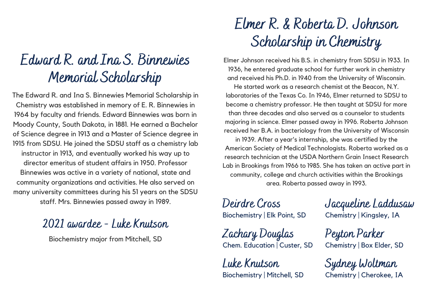### Edward R. and Ina S. Binnewies Memorial Scholarship

The Edward R. and Ina S. Binnewies Memorial Scholarship in Chemistry was established in memory of E. R. Binnewies in 1964 by faculty and friends. Edward Binnewies was born in Moody County, South Dakota, in 1881. He earned a Bachelor of Science degree in 1913 and a Master of Science degree in 1915 from SDSU. He joined the SDSU staff as a chemistry lab instructor in 1913, and eventually worked his way up to director emeritus of student affairs in 1950. Professor Binnewies was active in a variety of national, state and community organizations and activities. He also served on many university committees during his 51 years on the SDSU staff. Mrs. Binnewies passed away in 1989.

#### 2021 awardee - Luke Knutson

Biochemistry major from Mitchell, SD

### Elmer R. & Roberta D. Johnson Scholarship in Chemistry

Elmer Johnson received his B.S. in chemistry from SDSU in 1933. In 1936, he entered graduate school for further work in chemistry and received his Ph.D. in 1940 from the University of Wisconsin.

He started work as a research chemist at the Beacon, N.Y. laboratories of the Texas Co. In 1946, Elmer returned to SDSU to become a chemistry professor. He then taught at SDSU for more than three decades and also served as a counselor to students majoring in science. Elmer passed away in 1996. Roberta Johnson received her B.A. in bacteriology from the University of Wisconsin

in 1939. After a year's internship, she was certified by the American Society of Medical Technologists. Roberta worked as a research technician at the USDA Northern Grain Insect Research Lab in Brookings from 1966 to 1985. She has taken an active part in community, college and church activities within the Brookings area. Roberta passed away in 1993.

Deirdre Cross Biochemistry | Elk Point, SD

Zachary Douglas Chem. Education | Custer, SD

Luke Knutson Biochemistry | Mitchell, SD Jacqueline Laddusaw Chemistry | Kingsley, IA

Peyton Parker Chemistry | Box Elder, SD

Sydney Woltman Chemistry | Cherokee, IA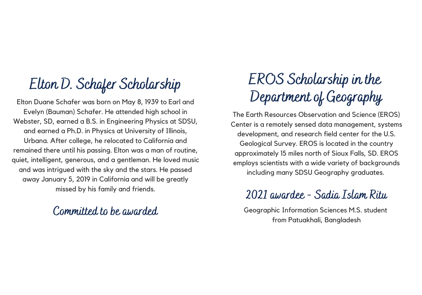### Elton D. Schafer Scholarship

Elton Duane Schafer was born on May 8, 1939 to Earl and Evelyn (Bauman) Schafer. He attended high school in Webster, SD, earned a B.S. in Engineering Physics at SDSU, and earned a Ph.D. in Physics at University of Illinois, Urbana. After college, he relocated to California and remained there until his passing. Elton was a man of routine, quiet, intelligent, generous, and a gentleman. He loved music and was intrigued with the sky and the stars. He passed away January 5, 2019 in California and will be greatly missed by his family and friends.

#### Committed to be awarded

# EROS Scholarship in the Department of Geography

The Earth Resources Observation and Science (EROS) Center is a remotely sensed data management, systems development, and research field center for the U.S. Geological Survey. EROS is located in the country approximately 15 miles north of Sioux Falls, SD. EROS employs scientists with a wide variety of backgrounds including many SDSU Geography graduates.

### 2021 awardee - Sadia Islam Ritu

Geographic Information Sciences M.S. student from Patuakhali, Bangladesh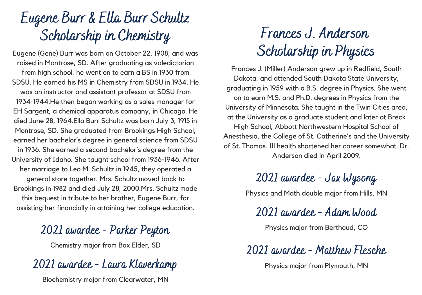# Eugene Burr & Ella Burr Schultz Scholarship in Chemistry

Eugene (Gene) Burr was born on October 22, 1908, and was raised in Montrose, SD. After graduating as valedictorian from high school, he went on to earn a BS in 1930 from SDSU. He earned his MS in Chemistry from SDSU in 1934. He was an instructor and assistant professor at SDSU from 1934-1944.He then began working as a sales manager for EH Sargent, a chemical apparatus company, in Chicago. He died June 28, 1964.Ella Burr Schultz was born July 3, 1915 in Montrose, SD. She graduated from Brookings High School, earned her bachelor's degree in general science from SDSU in 1936. She earned a second bachelor's degree from the University of Idaho. She taught school from 1936-1946. After her marriage to Leo M. Schultz in 1945, they operated a general store together. Mrs. Schultz moved back to Brookings in 1982 and died July 28, 2000.Mrs. Schultz made this bequest in tribute to her brother, Eugene Burr, for assisting her financially in attaining her college education.

#### 2021 awardee - Parker Peyton

Chemistry major from Box Elder, SD

#### 2021 awardee - Laura Klaverkamp

Biochemistry major from Clearwater, MN

# Frances J. Anderson Scholarship in Physics

Frances J. (Miller) Anderson grew up in Redfield, South Dakota, and attended South Dakota State University, graduating in 1959 with a B.S. degree in Physics. She went on to earn M.S. and Ph.D. degrees in Physics from the University of Minnesota. She taught in the Twin Cities area, at the University as a graduate student and later at Breck High School, Abbott Northwestern Hospital School of Anesthesia, the College of St. Catherine's and the University of St. Thomas. Ill health shortened her career somewhat. Dr. Anderson died in April 2009.

### 2021 awardee - Jax Wysong

Physics and Math double major from Hills, MN

2021 awardee - Adam Wood

Physics major from Berthoud, CO

#### 2021 awardee - Matthew Flesche

Physics major from Plymouth, MN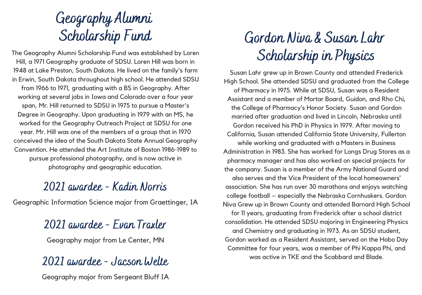# Geography Alumni Scholarship Fund

The Geography Alumni Scholarship Fund was established by Loren Hill, a 1971 Geography graduate of SDSU. Loren Hill was born in 1948 at Lake Preston, South Dakota. He lived on the family's farm in Erwin, South Dakota throughout high school. He attended SDSU from 1966 to 1971, graduating with a BS in Geography. After working at several jobs in Iowa and Colorado over a four year span, Mr. Hill returned to SDSU in 1975 to pursue a Master's Degree in Geography. Upon graduating in 1979 with an MS, he worked for the Geography Outreach Project at SDSU for one year. Mr. Hill was one of the members of a group that in 1970 conceived the idea of the South Dakota State Annual Geography Convention. He attended the Art Institute of Boston 1986-1989 to pursue professional photography, and is now active in photography and geographic education.

#### 2021 awardee - Kadin Norris

Geographic Information Science major from Graettinger, IA

#### 2021 awardee - Evan Traxler

Geography major from Le Center, MN

#### 2021 awardee - Jacson Welte

Geography major from Sergeant Bluff IA

# Gordon Niva & Susan Lahr Scholarship in Physics

Susan Lahr grew up in Brown County and attended Frederick High School. She attended SDSU and graduated from the College of Pharmacy in 1975. While at SDSU, Susan was a Resident Assistant and a member of Mortar Board, Guidon, and Rho Chi, the College of Pharmacy's Honor Society. Susan and Gordon married after graduation and lived in Lincoln, Nebraska until Gordon received his PhD in Physics in 1979. After moving to California, Susan attended California State University, Fullerton while working and graduated with a Masters in Business Administration in 1983. She has worked for Longs Drug Stores as a pharmacy manager and has also worked on special projects for the company. Susan is a member of the Army National Guard and also serves and the Vice President of the local homeowners' association. She has run over 30 marathons and enjoys watching college football – especially the Nebraska Cornhuskers. Gordon Niva Grew up in Brown County and attended Barnard High School for 11 years, graduating from Frederick after a school district consolidation. He attended SDSU majoring in Engineering Physics and Chemistry and graduating in 1973. As an SDSU student, Gordon worked as a Resident Assistant, served on the Hobo Day Committee for four years, was a member of Phi Kappa Phi, and was active in TKE and the Scabbard and Blade.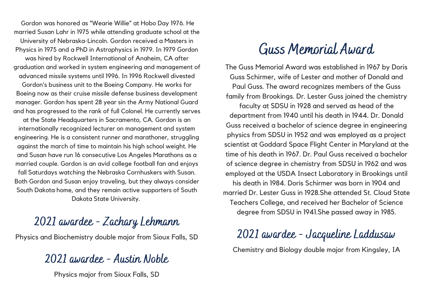Gordon was honored as "Wearie Willie" at Hobo Day 1976. He married Susan Lahr in 1975 while attending graduate school at the University of Nebraska-Lincoln. Gordon received a Masters in Physics in 1975 and a PhD in Astrophysics in 1979. In 1979 Gordon was hired by Rockwell International of Anaheim, CA after graduation and worked in system engineering and management of advanced missile systems until 1996. In 1996 Rockwell divested Gordon's business unit to the Boeing Company. He works for Boeing now as their cruise missile defense business development manager. Gordon has spent 28 year sin the Army National Guard and has progressed to the rank of full Colonel. He currently serves at the State Headquarters in Sacramento, CA. Gordon is an internationally recognized lecturer on management and system engineering. He is a consistent runner and marathoner, struggling against the march of time to maintain his high school weight. He and Susan have run 16 consecutive Los Angeles Marathons as a married couple. Gordon is an avid college football fan and enjoys fall Saturdays watching the Nebraska Cornhuskers with Susan. Both Gordon and Susan enjoy traveling, but they always consider South Dakota home, and they remain active supporters of South Dakota State University.

#### 2021 awardee - Zachary Lehmann

Physics and Biochemistry double major from Sioux Falls, SD

#### 2021 awardee - Austin Noble

Physics major from Sioux Falls, SD

### Guss Memorial Award

The Guss Memorial Award was established in 1967 by Doris Guss Schirmer, wife of Lester and mother of Donald and Paul Guss. The award recognizes members of the Guss family from Brookings. Dr. Lester Guss joined the chemistry

faculty at SDSU in 1928 and served as head of the department from 1940 until his death in 1944. Dr. Donald Guss received a bachelor of science degree in engineering physics from SDSU in 1952 and was employed as a project scientist at Goddard Space Flight Center in Maryland at the time of his death in 1967. Dr. Paul Guss received a bachelor of science degree in chemistry from SDSU in 1962 and was employed at the USDA Insect Laboratory in Brookings until his death in 1984. Doris Schirmer was born in 1904 and married Dr. Lester Guss in 1928.She attended St. Cloud State Teachers College, and received her Bachelor of Science degree from SDSU in 1941.She passed away in 1985.

#### 2021 awardee - Jacqueline Laddusaw Chemistry and Biology double major from Kingsley, IA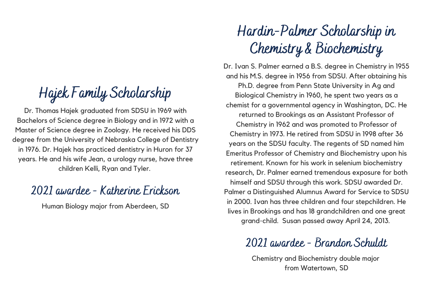Hajek Family Scholarship

Dr. Thomas Hajek graduated from SDSU in 1969 with Bachelors of Science degree in Biology and in 1972 with a Master of Science degree in Zoology. He received his DDS degree from the University of Nebraska College of Dentistry in 1976. Dr. Hajek has practiced dentistry in Huron for 37 years. He and his wife Jean, a urology nurse, have three children Kelli, Ryan and Tyler.

#### 2021 awardee - Katherine Erickson

Human Biology major from Aberdeen, SD

### Hardin-Palmer Scholarship in Chemistry & Biochemistry

Dr. Ivan S. Palmer earned a B.S. degree in Chemistry in 1955 and his M.S. degree in 1956 from SDSU. After obtaining his Ph.D. degree from Penn State University in Ag and Biological Chemistry in 1960, he spent two years as a chemist for a governmental agency in Washington, DC. He returned to Brookings as an Assistant Professor of Chemistry in 1962 and was promoted to Professor of Chemistry in 1973. He retired from SDSU in 1998 after 36 years on the SDSU faculty. The regents of SD named him Emeritus Professor of Chemistry and Biochemistry upon his retirement. Known for his work in selenium biochemistry research, Dr. Palmer earned tremendous exposure for both himself and SDSU through this work. SDSU awarded Dr. Palmer a Distinguished Alumnus Award for Service to SDSU in 2000. Ivan has three children and four stepchildren. He lives in Brookings and has 18 grandchildren and one great grand-child. Susan passed away April 24, 2013.

#### 2021 awardee - Brandon Schuldt

Chemistry and Biochemistry double major from Watertown, SD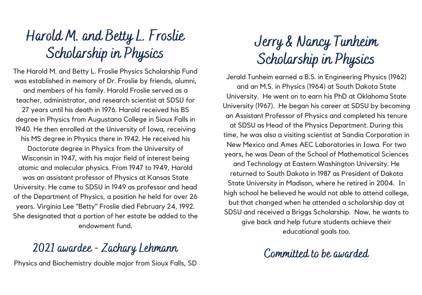# Harold M. and Betty L. Froslie Scholarship in Physics

The Harold M. and Betty L. Froslie Physics Scholarship Fund was established in memory of Dr. Froslie by friends, alumni, and members of his family. Harold Froslie served as a teacher, administrator, and research scientist at SDSU for

27 years until his death in 1976. Harold received his BS degree in Physics from Augustana College in Sioux Falls in 1940. He then enrolled at the University of Iowa, receiving his MS degree in Physics there in 1942. He received his

Doctorate degree in Physics from the University of Wisconsin in 1947, with his major field of interest being atomic and molecular physics. From 1947 to 1949, Harold was an assistant professor of Physics at Kansas State University. He came to SDSU in 1949 as professor and head of the Department of Physics, a position he held for over 26 years. Virginia Lee "Betty" Froslie died February 24, 1992. She designated that a portion of her estate be added to the endowment fund.

#### 2021 awardee - Zachary Lehmann

Physics and Biochemistry double major from Sioux Falls, SD

# Jerry & Nancy Tunheim Scholarship in Physics

Jerald Tunheim earned a B.S. in Engineering Physics (1962) and an M.S. in Physics (1964) at South Dakota State University. He went on to earn his PhD at Oklahoma State University (1967). He began his career at SDSU by becoming an Assistant Professor of Physics and completed his tenure at SDSU as Head of the Physics Department. During this time, he was also a visiting scientist at Sandia Corporation in New Mexico and Ames AEC Laboratories in Iowa. For two years, he was Dean of the School of Mathematical Sciences and Technology at Eastern Washington University. He returned to South Dakota in 1987 as President of Dakota State University in Madison, where he retired in 2004. In high school he believed he would not able to attend college, but that changed when he attended a scholarship day at SDSU and received a Briggs Scholarship. Now, he wants to give back and help future students achieve their educational goals too.

Committed to be awarded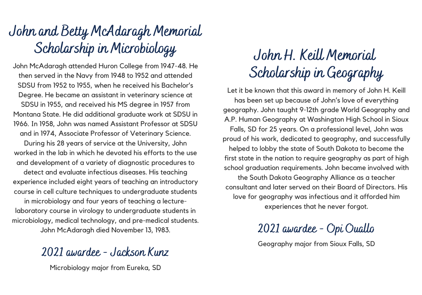# John and Betty McAdaragh Memorial Scholarship in Microbiology

John McAdaragh attended Huron College from 1947-48. He then served in the Navy from 1948 to 1952 and attended SDSU from 1952 to 1955, when he received his Bachelor's Degree. He became an assistant in veterinary science at SDSU in 1955, and received his MS degree in 1957 from Montana State. He did additional graduate work at SDSU in 1966. In 1958, John was named Assistant Professor at SDSU and in 1974, Associate Professor of Veterinary Science. During his 28 years of service at the University, John worked in the lab in which he devoted his efforts to the use and development of a variety of diagnostic procedures to detect and evaluate infectious diseases. His teaching experience included eight years of teaching an introductory course in cell culture techniques to undergraduate students in microbiology and four years of teaching a lecturelaboratory course in virology to undergraduate students in microbiology, medical technology, and pre-medical students. John McAdaragh died November 13, 1983.

#### 2021 awardee - Jackson Kunz

Microbiology major from Eureka, SD

### John H. Keill Memorial Scholarship in Geography

Let it be known that this award in memory of John H. Keill has been set up because of John's love of everything geography. John taught 9-12th grade World Geography and A.P. Human Geography at Washington High School in Sioux Falls, SD for 25 years. On a professional level, John was proud of his work, dedicated to geography, and successfully helped to lobby the state of South Dakota to become the first state in the nation to require geography as part of high school graduation requirements. John became involved with the South Dakota Geography Alliance as a teacher consultant and later served on their Board of Directors. His love for geography was infectious and it afforded him experiences that he never forgot.

2021 awardee - Opi Ouallo

Geography major from Sioux Falls, SD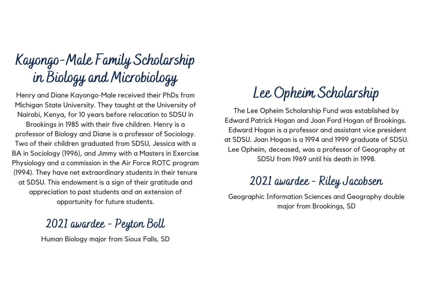# Kayongo-Male Family Scholarship in Biology and Microbiology

Henry and Diane Kayongo-Male received their PhDs from Michigan State University. They taught at the University of Nairobi, Kenya, for 10 years before relocation to SDSU in Brookings in 1985 with their five children. Henry is a professor of Biology and Diane is a professor of Sociology. Two of their children graduated from SDSU, Jessica with a BA in Sociology (1996), and Jimmy with a Masters in Exercise Physiology and a commission in the Air Force ROTC program (1994). They have net extraordinary students in their tenure at SDSU. This endowment is a sign of their gratitude and

appreciation to past students and an extension of opportunity for future students.

### 2021 awardee - Peyton Boll

Human Biology major from Sioux Falls, SD

### Lee Opheim Scholarship

The Lee Opheim Scholarship Fund was established by Edward Patrick Hogan and Joan Ford Hogan of Brookings. Edward Hogan is a professor and assistant vice president at SDSU. Joan Hogan is a 1994 and 1999 graduate of SDSU. Lee Opheim, deceased, was a professor of Geography at SDSU from 1969 until his death in 1998.

### 2021 awardee - Riley Jacobsen

Geographic Information Sciences and Geography double major from Brookings, SD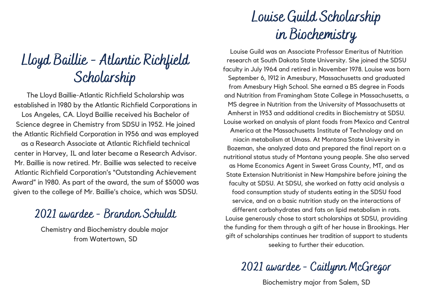### Lloyd Baillie - Atlantic Richfield Scholarship

The Lloyd Baillie-Atlantic Richfield Scholarship was established in 1980 by the Atlantic Richfield Corporations in Los Angeles, CA. Lloyd Baillie received his Bachelor of Science degree in Chemistry from SDSU in 1952. He joined the Atlantic Richfield Corporation in 1956 and was employed as a Research Associate at Atlantic Richfield technical center in Harvey, IL and later became a Research Advisor. Mr. Baillie is now retired. Mr. Baillie was selected to receive Atlantic Richfield Corporation's "Outstanding Achievement Award" in 1980. As part of the award, the sum of \$5000 was given to the college of Mr. Baillie's choice, which was SDSU.

#### 2021 awardee - Brandon Schuldt

Chemistry and Biochemistry double major from Watertown, SD

# Louise Guild Scholarship in Biochemistry

Louise Guild was an Associate Professor Emeritus of Nutrition research at South Dakota State University. She joined the SDSU faculty in July 1964 and retired in November 1978. Louise was born September 6, 1912 in Amesbury, Massachusetts and graduated from Amesbury High School. She earned a BS degree in Foods and Nutrition from Framingham State College in Massachusetts, a MS degree in Nutrition from the University of Massachusetts at Amherst in 1953 and additional credits in Biochemistry at SDSU. Louise worked on analysis of plant foods from Mexico and Central America at the Massachusetts Institute of Technology and on niacin metabolism at Umass. At Montana State University in Bozeman, she analyzed data and prepared the final report on a nutritional status study of Montana young people. She also served as Home Economics Agent in Sweet Grass County, MT, and as State Extension Nutritionist in New Hampshire before joining the faculty at SDSU. At SDSU, she worked on fatty acid analysis a food consumption study of students eating in the SDSU food service, and on a basic nutrition study on the interactions of different carbohydrates and fats on lipid metabolism in rats. Louise generously chose to start scholarships at SDSU, providing the funding for them through a gift of her house in Brookings. Her gift of scholarships continues her tradition of support to students seeking to further their education.

2021 awardee - Caitlynn McGregor

Biochemistry major from Salem, SD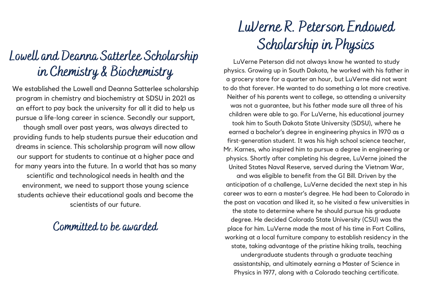### Lowell and Deanna Satterlee Scholarship in Chemistry & Biochemistry

We established the Lowell and Deanna Satterlee scholarship program in chemistry and biochemistry at SDSU in 2021 as an effort to pay back the university for all it did to help us pursue a life-long career in science. Secondly our support, though small over past years, was always directed to providing funds to help students pursue their education and dreams in science. This scholarship program will now allow our support for students to continue at a higher pace and for many years into the future. In a world that has so many scientific and technological needs in health and the environment, we need to support those young science students achieve their educational goals and become the scientists of our future.

#### Committed to be awarded

# LuVerne R. Peterson Endowed Scholarship in Physics

LuVerne Peterson did not always know he wanted to study physics. Growing up in South Dakota, he worked with his father in a grocery store for a quarter an hour, but LuVerne did not want to do that forever. He wanted to do something a lot more creative. Neither of his parents went to college, so attending a university was not a guarantee, but his father made sure all three of his children were able to go. For LuVerne, his educational journey took him to South Dakota State University (SDSU), where he earned a bachelor's degree in engineering physics in 1970 as a first-generation student. It was his high school science teacher, Mr. Karnes, who inspired him to pursue a degree in engineering or physics. Shortly after completing his degree, LuVerne joined the United States Naval Reserve, served during the Vietnam War, and was eligible to benefit from the GI Bill. Driven by the anticipation of a challenge, LuVerne decided the next step in his career was to earn a master's degree. He had been to Colorado in the past on vacation and liked it, so he visited a few universities in the state to determine where he should pursue his graduate degree. He decided Colorado State University (CSU) was the place for him. LuVerne made the most of his time in Fort Collins, working at a local furniture company to establish residency in the state, taking advantage of the pristine hiking trails, teaching undergraduate students through a graduate teaching assistantship, and ultimately earning a Master of Science in Physics in 1977, along with a Colorado teaching certificate.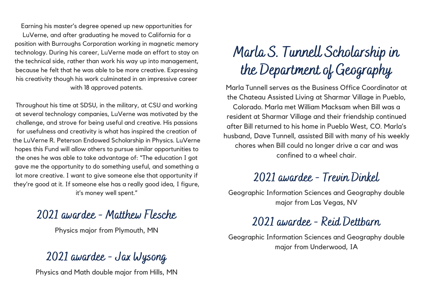Earning his master's degree opened up new opportunities for LuVerne, and after graduating he moved to California for a position with Burroughs Corporation working in magnetic memory technology. During his career, LuVerne made an effort to stay on the technical side, rather than work his way up into management, because he felt that he was able to be more creative. Expressing his creativity though his work culminated in an impressive career with 18 approved patents.

Throughout his time at SDSU, in the military, at CSU and working at several technology companies, LuVerne was motivated by the challenge, and strove for being useful and creative. His passions for usefulness and creativity is what has inspired the creation of the LuVerne R. Peterson Endowed Scholarship in Physics. LuVerne hopes this Fund will allow others to pursue similar opportunities to the ones he was able to take advantage of: "The education I got gave me the opportunity to do something useful, and something a lot more creative. I want to give someone else that opportunity if they're good at it. If someone else has a really good idea, I figure, it's money well spent."

#### 2021 awardee - Matthew Flesche

Physics major from Plymouth, MN

#### 2021 awardee - Jax Wysong

Physics and Math double major from Hills, MN

# Marla S. Tunnell Scholarship in the Department of Geography

Marla Tunnell serves as the Business Office Coordinator at the Chateau Assisted Living at Sharmar Village in Pueblo, Colorado. Marla met William Macksam when Bill was a resident at Sharmar Village and their friendship continued after Bill returned to his home in Pueblo West, CO. Marla's husband, Dave Tunnell, assisted Bill with many of his weekly chores when Bill could no longer drive a car and was confined to a wheel chair.

#### 2021 awardee - Trevin Dinkel

Geographic Information Sciences and Geography double major from Las Vegas, NV

#### 2021 awardee - Reid Dettbarn

Geographic Information Sciences and Geography double major from Underwood, IA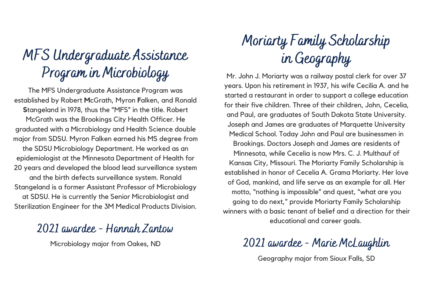# MFS Undergraduate Assistance Program in Microbiology

The MFS Undergraduate Assistance Program was established by Robert **M**cGrath, Myron **F**alken, and Ronald **S**tangeland in 1978, thus the "MFS" in the title. Robert McGrath was the Brookings City Health Officer. He graduated with a Microbiology and Health Science double major from SDSU. Myron Falken earned his MS degree from the SDSU Microbiology Department. He worked as an epidemiologist at the Minnesota Department of Health for 20 years and developed the blood lead surveillance system and the birth defects surveillance system. Ronald Stangeland is a former Assistant Professor of Microbiology at SDSU. He is currently the Senior Microbiologist and Sterilization Engineer for the 3M Medical Products Division.

#### 2021 awardee - Hannah Zantow

Microbiology major from Oakes, ND

# Moriarty Family Scholarship in Geography

Mr. John J. Moriarty was a railway postal clerk for over 37 years. Upon his retirement in 1937, his wife Cecilia A. and he started a restaurant in order to support a college education for their five children. Three of their children, John, Cecelia, and Paul, are graduates of South Dakota State University. Joseph and James are graduates of Marquette University Medical School. Today John and Paul are businessmen in Brookings. Doctors Joseph and James are residents of Minnesota, while Cecelia is now Mrs. C. J. Multhauf of Kansas City, Missouri. The Moriarty Family Scholarship is established in honor of Cecelia A. Grama Moriarty. Her love of God, mankind, and life serve as an example for all. Her motto, "nothing is impossible" and quest, "what are you going to do next," provide Moriarty Family Scholarship winners with a basic tenant of belief and a direction for their educational and career goals.

2021 awardee - Marie McLaughlin

Geography major from Sioux Falls, SD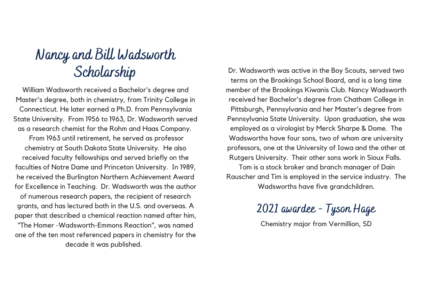# Nancy and Bill Wadsworth

William Wadsworth received a Bachelor's degree and Master's degree, both in chemistry, from Trinity College in Connecticut. He later earned a Ph.D. from Pennsylvania State University. From 1956 to 1963, Dr. Wadsworth served as a research chemist for the Rohm and Haas Company. From 1963 until retirement, he served as professor chemistry at South Dakota State University. He also received faculty fellowships and served briefly on the faculties of Notre Dame and Princeton University. In 1989, he received the Burlington Northern Achievement Award for Excellence in Teaching. Dr. Wadsworth was the author of numerous research papers, the recipient of research grants, and has lectured both in the U.S. and overseas. A paper that described a chemical reaction named after him, "The Homer -Wadsworth-Emmons Reaction", was named one of the ten most referenced papers in chemistry for the decade it was published.

Scholarship Dr. Wadsworth was active in the Boy Scouts, served two terms on the Brookings School Board, and is a long time member of the Brookings Kiwanis Club. Nancy Wadsworth received her Bachelor's degree from Chatham College in Pittsburgh, Pennsylvania and her Master's degree from Pennsylvania State University. Upon graduation, she was employed as a virologist by Merck Sharpe & Dome. The Wadsworths have four sons, two of whom are university professors, one at the University of Iowa and the other at Rutgers University. Their other sons work in Sioux Falls.

Tom is a stock broker and branch manager of Dain Rauscher and Tim is employed in the service industry. The Wadsworths have five grandchildren.

2021 awardee - Tyson Hage

Chemistry major from Vermillion, SD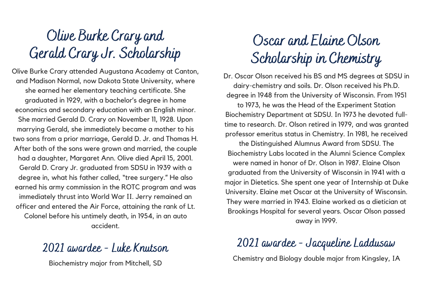# Olive Burke Crary and Gerald Crary Jr. Scholarship

Olive Burke Crary attended Augustana Academy at Canton, and Madison Normal, now Dakota State University, where she earned her elementary teaching certificate. She graduated in 1929, with a bachelor's degree in home economics and secondary education with an English minor. She married Gerald D. Crary on November 11, 1928. Upon marrying Gerald, she immediately became a mother to his two sons from a prior marriage, Gerald D. Jr. and Thomas H. After both of the sons were grown and married, the couple had a daughter, Margaret Ann. Olive died April 15, 2001. Gerald D. Crary Jr. graduated from SDSU in 1939 with a degree in, what his father called, "tree surgery." He also earned his army commission in the ROTC program and was immediately thrust into World War II. Jerry remained an officer and entered the Air Force, attaining the rank of Lt. Colonel before his untimely death, in 1954, in an auto accident.

#### 2021 awardee - Luke Knutson

Biochemistry major from Mitchell, SD

### Oscar and Elaine Olson Scholarship in Chemistry

Dr. Oscar Olson received his BS and MS degrees at SDSU in dairy-chemistry and soils. Dr. Olson received his Ph.D. degree in 1948 from the University of Wisconsin. From 1951

to 1973, he was the Head of the Experiment Station Biochemistry Department at SDSU. In 1973 he devoted fulltime to research. Dr. Olson retired in 1979, and was granted professor emeritus status in Chemistry. In 1981, he received the Distinguished Alumnus Award from SDSU. The Biochemistry Labs located in the Alumni Science Complex were named in honor of Dr. Olson in 1987. Elaine Olson graduated from the University of Wisconsin in 1941 with a major in Dietetics. She spent one year of Internship at Duke University. Elaine met Oscar at the University of Wisconsin. They were married in 1943. Elaine worked as a dietician at Brookings Hospital for several years. Oscar Olson passed away in 1999.

### 2021 awardee - Jacqueline Laddusaw

Chemistry and Biology double major from Kingsley, IA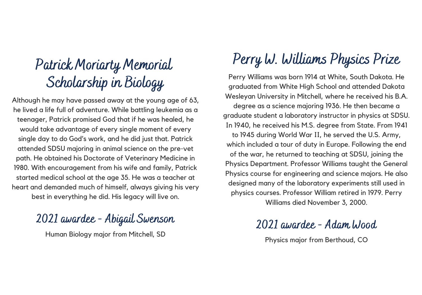### Patrick Moriarty Memorial Scholarship in Biology

Although he may have passed away at the young age of 63, he lived a life full of adventure. While battling leukemia as a teenager, Patrick promised God that if he was healed, he would take advantage of every single moment of every single day to do God's work, and he did just that. Patrick attended SDSU majoring in animal science on the pre-vet path. He obtained his Doctorate of Veterinary Medicine in 1980. With encouragement from his wife and family, Patrick started medical school at the age 35. He was a teacher at heart and demanded much of himself, always giving his very best in everything he did. His legacy will live on.

### 2021 awardee - Abigail Swenson

Human Biology major from Mitchell, SD

### Perry W. Williams Physics Prize

Perry Williams was born 1914 at White, South Dakota. He graduated from White High School and attended Dakota Wesleyan University in Mitchell, where he received his B.A. degree as a science majoring 1936. He then became a graduate student a laboratory instructor in physics at SDSU. In 1940, he received his M.S. degree from State. From 1941 to 1945 during World War II, he served the U.S. Army, which included a tour of duty in Europe. Following the end of the war, he returned to teaching at SDSU, joining the Physics Department. Professor Williams taught the General Physics course for engineering and science majors. He also designed many of the laboratory experiments still used in physics courses. Professor William retired in 1979. Perry Williams died November 3, 2000.

#### 2021 awardee - Adam Wood

Physics major from Berthoud, CO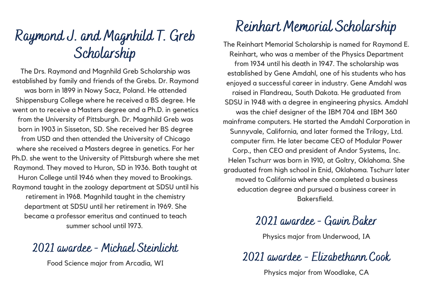### Raymond J. and Magnhild T. Greb Scholarship

The Drs. Raymond and Magnhild Greb Scholarship was established by family and friends of the Grebs. Dr. Raymond was born in 1899 in Nowy Sacz, Poland. He attended Shippensburg College where he received a BS degree. He went on to receive a Masters degree and a Ph.D. in genetics from the University of Pittsburgh. Dr. Magnhild Greb was born in 1903 in Sisseton, SD. She received her BS degree from USD and then attended the University of Chicago where she received a Masters degree in genetics. For her Ph.D. she went to the University of Pittsburgh where she met Raymond. They moved to Huron, SD in 1936. Both taught at Huron College until 1946 when they moved to Brookings. Raymond taught in the zoology department at SDSU until his retirement in 1968. Magnhild taught in the chemistry department at SDSU until her retirement in 1969. She became a professor emeritus and continued to teach summer school until 1973.

#### 2021 awardee - Michael Steinlicht

Food Science major from Arcadia, WI

### Reinhart Memorial Scholarship

The Reinhart Memorial Scholarship is named for Raymond E. Reinhart, who was a member of the Physics Department from 1934 until his death in 1947. The scholarship was established by Gene Amdahl, one of his students who has enjoyed a successful career in industry. Gene Amdahl was raised in Flandreau, South Dakota. He graduated from SDSU in 1948 with a degree in engineering physics. Amdahl was the chief designer of the IBM 704 and IBM 360 mainframe computers. He started the Amdahl Corporation in Sunnyvale, California, and later formed the Trilogy, Ltd. computer firm. He later became CEO of Modular Power Corp., then CEO and president of Andor Systems, Inc. Helen Tschurr was born in 1910, at Goltry, Oklahoma. She graduated from high school in Enid, Oklahoma. Tschurr later moved to California where she completed a business education degree and pursued a business career in Bakersfield.

#### 2021 awardee - Gavin Baker

Physics major from Underwood, IA

2021 awardee - Elizabethann Cook

Physics major from Woodlake, CA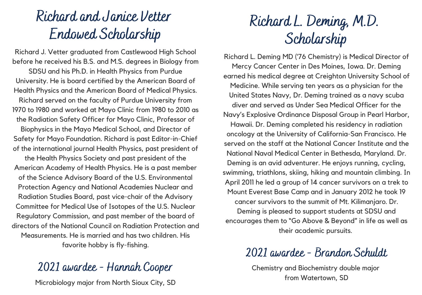### Richard and Janice Vetter Endowed Scholarship

Richard J. Vetter graduated from Castlewood High School before he received his B.S. and M.S. degrees in Biology from SDSU and his Ph.D. in Health Physics from Purdue University. He is board certified by the American Board of Health Physics and the American Board of Medical Physics. Richard served on the faculty of Purdue University from 1970 to 1980 and worked at Mayo Clinic from 1980 to 2010 as the Radiation Safety Officer for Mayo Clinic, Professor of Biophysics in the Mayo Medical School, and Director of Safety for Mayo Foundation. Richard is past Editor-in-Chief of the international journal Health Physics, past president of the Health Physics Society and past president of the American Academy of Health Physics. He is a past member of the Science Advisory Board of the U.S. Environmental Protection Agency and National Academies Nuclear and Radiation Studies Board, past vice-chair of the Advisory Committee for Medical Use of Isotopes of the U.S. Nuclear Regulatory Commission, and past member of the board of directors of the National Council on Radiation Protection and Measurements. He is married and has two children. His favorite hobby is fly-fishing.

#### 2021 awardee - Hannah Cooper

Microbiology major from North Sioux City, SD

### Richard L. Deming, M.D. Scholarship

Richard L. Deming MD ('76 Chemistry) is Medical Director of Mercy Cancer Center in Des Moines, Iowa. Dr. Deming earned his medical degree at Creighton University School of Medicine. While serving ten years as a physician for the United States Navy, Dr. Deming trained as a navy scuba diver and served as Under Sea Medical Officer for the Navy's Explosive Ordinance Disposal Group in Pearl Harbor, Hawaii. Dr. Deming completed his residency in radiation oncology at the University of California-San Francisco. He served on the staff at the National Cancer Institute and the National Naval Medical Center in Bethesda, Maryland. Dr. Deming is an avid adventurer. He enjoys running, cycling, swimming, triathlons, skiing, hiking and mountain climbing. In April 2011 he led a group of 14 cancer survivors on a trek to Mount Everest Base Camp and in January 2012 he took 19 cancer survivors to the summit of Mt. Kilimanjaro. Dr. Deming is pleased to support students at SDSU and encourages them to "Go Above & Beyond" in life as well as their academic pursuits.

#### 2021 awardee - Brandon Schuldt

Chemistry and Biochemistry double major from Watertown, SD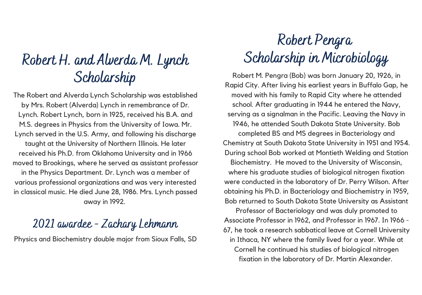### Robert H. and Alverda M. Lynch Scholarship

The Robert and Alverda Lynch Scholarship was established by Mrs. Robert (Alverda) Lynch in remembrance of Dr. Lynch. Robert Lynch, born in 1925, received his B.A. and M.S. degrees in Physics from the University of Iowa. Mr. Lynch served in the U.S. Army, and following his discharge taught at the University of Northern Illinois. He later received his Ph.D. from Oklahoma University and in 1966 moved to Brookings, where he served as assistant professor in the Physics Department. Dr. Lynch was a member of various professional organizations and was very interested in classical music. He died June 28, 1986. Mrs. Lynch passed away in 1992.

#### 2021 awardee - Zachary Lehmann

Physics and Biochemistry double major from Sioux Falls, SD

# Robert Pengra Scholarship in Microbiology

Robert M. Pengra (Bob) was born January 20, 1926, in Rapid City. After living his earliest years in Buffalo Gap, he moved with his family to Rapid City where he attended school. After graduating in 1944 he entered the Navy, serving as a signalman in the Pacific. Leaving the Navy in 1946, he attended South Dakota State University. Bob completed BS and MS degrees in Bacteriology and Chemistry at South Dakota State University in 1951 and 1954. During school Bob worked at Montieth Welding and Station Biochemistry. He moved to the University of Wisconsin, where his graduate studies of biological nitrogen fixation were conducted in the laboratory of Dr. Perry Wilson. After obtaining his Ph.D. in Bacteriology and Biochemistry in 1959, Bob returned to South Dakota State University as Assistant

Professor of Bacteriology and was duly promoted to Associate Professor in 1962, and Professor in 1967. In 1966 - 67, he took a research sabbatical leave at Cornell University in Ithaca, NY where the family lived for a year. While at Cornell he continued his studies of biological nitrogen fixation in the laboratory of Dr. Martin Alexander.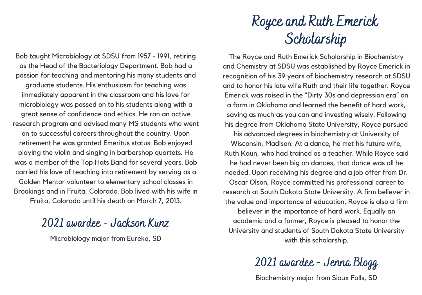Bob taught Microbiology at SDSU from 1957 - 1991, retiring as the Head of the Bacteriology Department. Bob had a passion for teaching and mentoring his many students and graduate students. His enthusiasm for teaching was immediately apparent in the classroom and his love for microbiology was passed on to his students along with a great sense of confidence and ethics. He ran an active research program and advised many MS students who went on to successful careers throughout the country. Upon retirement he was granted Emeritus status. Bob enjoyed playing the violin and singing in barbershop quartets. He was a member of the Top Hats Band for several years. Bob carried his love of teaching into retirement by serving as a Golden Mentor volunteer to elementary school classes in Brookings and in Fruita, Colorado. Bob lived with his wife in Fruita, Colorado until his death on March 7, 2013.

#### 2021 awardee - Jackson Kunz

Microbiology major from Eureka, SD

### Royce and Ruth Emerick Scholarship

The Royce and Ruth Emerick Scholarship in Biochemistry and Chemistry at SDSU was established by Royce Emerick in recognition of his 39 years of biochemistry research at SDSU and to honor his late wife Ruth and their life together. Royce Emerick was raised in the "Dirty 30s and depression era" on a farm in Oklahoma and learned the benefit of hard work, saving as much as you can and investing wisely. Following his degree from Oklahoma State University, Royce pursued his advanced degrees in biochemistry at University of Wisconsin, Madison. At a dance, he met his future wife, Ruth Kaun, who had trained as a teacher. While Royce said he had never been big on dances, that dance was all he needed. Upon receiving his degree and a job offer from Dr. Oscar Olson, Royce committed his professional career to research at South Dakota State University. A firm believer in the value and importance of education, Royce is also a firm believer in the importance of hard work. Equally an academic and a farmer, Royce is pleased to honor the University and students of South Dakota State University with this scholarship.

2021 awardee - Jenna Blogg

Biochemistry major from Sioux Falls, SD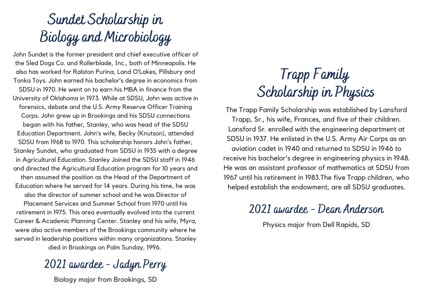# Sundet Scholarship in Biology and Microbiology

John Sundet is the former president and chief executive officer of the Sled Dogs Co. and Rollerblade, Inc., both of Minneapolis. He also has worked for Ralston Purina, Land O'Lakes, Pillsbury and Tonka Toys. John earned his bachelor's degree in economics from SDSU in 1970. He went on to earn his MBA in finance from the University of Oklahoma in 1973. While at SDSU, John was active in forensics, debate and the U.S. Army Reserve Officer Training Corps. John grew up in Brookings and his SDSU connections began with his father, Stanley, who was head of the SDSU Education Department. John's wife, Becky (Knutson), attended SDSU from 1968 to 1970. This scholarship honors John's father, Stanley Sundet, who graduated from SDSU in 1935 with a degree in Agricultural Education. Stanley Joined the SDSU staff in 1946 and directed the Agricultural Education program for 10 years and then assumed the position as the Head of the Department of Education where he served for 14 years. During his time, he was also the director of summer school and he was Director of Placement Services and Summer School from 1970 until his retirement in 1975. This area eventually evolved into the current Career & Academic Planning Center. Stanley and his wife, Myra, were also active members of the Brookings community where he served in leadership positions within many organizations. Stanley died in Brookings on Palm Sunday, 1996.

### 2021 awardee - Jadyn Perry

Biology major from Brookings, SD

### Trapp Family Scholarship in Physics

The Trapp Family Scholarship was established by Lansford Trapp, Sr., his wife, Frances, and five of their children. Lansford Sr. enrolled with the engineering department at SDSU in 1937. He enlisted in the U.S. Army Air Corps as an aviation cadet in 1940 and returned to SDSU in 1946 to receive his bachelor's degree in engineering physics in 1948. He was an assistant professor of mathematics at SDSU from 1967 until his retirement in 1983.The five Trapp children, who helped establish the endowment, are all SDSU graduates.

#### 2021 awardee - Dean Anderson

Physics major from Dell Rapids, SD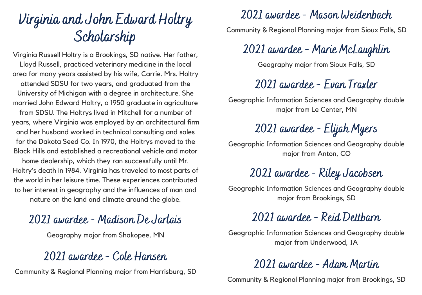### Virginia and John Edward Holtry Scholarship

Virginia Russell Holtry is a Brookings, SD native. Her father, Lloyd Russell, practiced veterinary medicine in the local area for many years assisted by his wife, Carrie. Mrs. Holtry attended SDSU for two years, and graduated from the University of Michigan with a degree in architecture. She married John Edward Holtry, a 1950 graduate in agriculture from SDSU. The Holtrys lived in Mitchell for a number of years, where Virginia was employed by an architectural firm and her husband worked in technical consulting and sales for the Dakota Seed Co. In 1970, the Holtrys moved to the Black Hills and established a recreational vehicle and motor

home dealership, which they ran successfully until Mr. Holtry's death in 1984. Virginia has traveled to most parts of the world in her leisure time. These experiences contributed to her interest in geography and the influences of man and nature on the land and climate around the globe.

#### 2021 awardee - Madison De Jarlais

Geography major from Shakopee, MN

#### 2021 awardee - Cole Hansen

Community & Regional Planning major from Harrisburg, SD

#### 2021 awardee - Mason Weidenbach

Community & Regional Planning major from Sioux Falls, SD

### 2021 awardee - Marie McLaughlin

Geography major from Sioux Falls, SD

### 2021 awardee - Evan Traxler

Geographic Information Sciences and Geography double major from Le Center, MN

### 2021 awardee - Elijah Myers

Geographic Information Sciences and Geography double major from Anton, CO

### 2021 awardee - Riley Jacobsen

Geographic Information Sciences and Geography double major from Brookings, SD

### 2021 awardee - Reid Dettbarn

Geographic Information Sciences and Geography double major from Underwood, IA

### 2021 awardee - Adam Martin

Community & Regional Planning major from Brookings, SD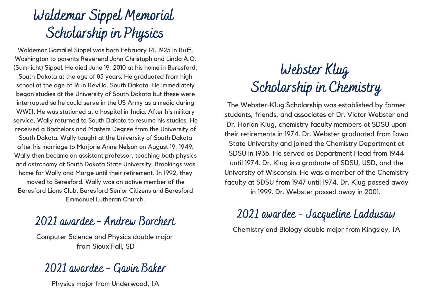### Waldemar Sippel Memorial Scholarship in Physics

Waldemar Gamaliel Sippel was born February 14, 1925 in Ruff, Washington to parents Reverend John Christoph and Linda A.O. (Sumnicht) Sippel. He died June 19, 2010 at his home in Beresford, South Dakota at the age of 85 years. He graduated from high school at the age of 16 in Revillo, South Dakota. He immediately began studies at the University of South Dakota but these were interrupted so he could serve in the US Army as a medic during WWII. He was stationed at a hospital in India. After his military service, Wally returned to South Dakota to resume his studies. He received a Bachelors and Masters Degree from the University of South Dakota. Wally taught at the University of South Dakota after his marriage to Marjorie Anne Nelson on August 19, 1949. Wally then became an assistant professor, teaching both physics and astronomy at South Dakota State University. Brookings was home for Wally and Marge until their retirement. In 1992, they moved to Beresford. Wally was an active member of the Beresford Lions Club, Beresford Senior Citizens and Beresford Emmanuel Lutheran Church.

#### 2021 awardee - Andrew Borchert

Computer Science and Physics double major from Sioux Fall, SD

#### 2021 awardee - Gavin Baker

Physics major from Underwood, IA

### Webster Klug Scholarship in Chemistry

The Webster-Klug Scholarship was established by former students, friends, and associates of Dr. Victor Webster and Dr. Harlan Klug, chemistry faculty members at SDSU upon their retirements in 1974. Dr. Webster graduated from Iowa State University and joined the Chemistry Department at SDSU in 1936. He served as Department Head from 1944 until 1974. Dr. Klug is a graduate of SDSU, USD, and the University of Wisconsin. He was a member of the Chemistry faculty at SDSU from 1947 until 1974. Dr. Klug passed away in 1999. Dr. Webster passed away in 2001.

#### 2021 awardee - Jacqueline Laddusaw

Chemistry and Biology double major from Kingsley, IA